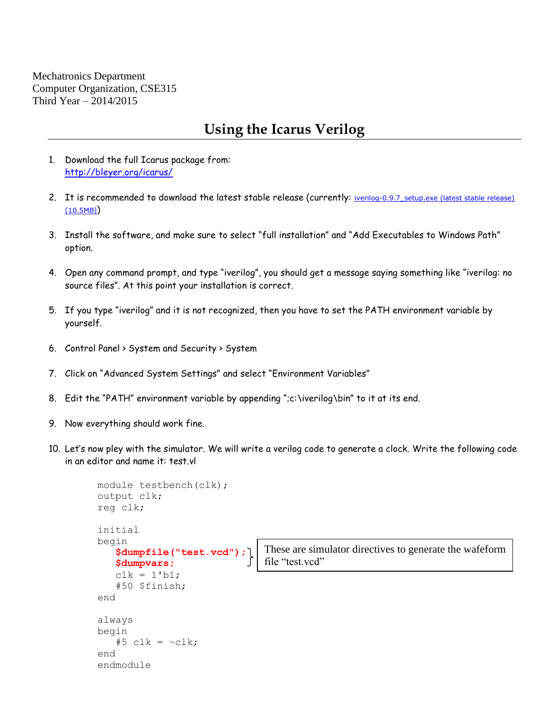Mechatronics Department Computer Organization, CSE315 Third Year – 2014/2015

## **Using the Icarus Verilog**

- 1. Download the full Icarus package from: <http://bleyer.org/icarus/>
- 2. It is recommended to download the latest stable release (currently: iverilog-0.9.7 setup.exe (latest stable release) [\[10.5MB\]](http://bleyer.org/icarus/iverilog-0.9.7_setup.exe))
- 3. Install the software, and make sure to select "full installation" and "Add Executables to Windows Path" option.
- 4. Open any command prompt, and type "iverilog", you should get a message saying something like "iverilog: no source files". At this point your installation is correct.
- 5. If you type "iverilog" and it is not recognized, then you have to set the PATH environment variable by yourself.
- 6. Control Panel > System and Security > System
- 7. Click on "Advanced System Settings" and select "Environment Variables"
- 8. Edit the "PATH" environment variable by appending ";c:\iverilog\bin" to it at its end.
- 9. Now everything should work fine.
- 10. Let's now pley with the simulator. We will write a verilog code to generate a clock. Write the following code in an editor and name it: test.vl

```
module testbench(clk);
output clk;
reg clk;
initial
begin
    $dumpfile("test.vcd");
    $dumpvars;
   clk = 1'b1; #50 $finish;
end
always
begin
   #5 clk = \simclk;
end
endmodule
                                 These are simulator directives to generate the wafeform 
                                 file "test.vcd"
```